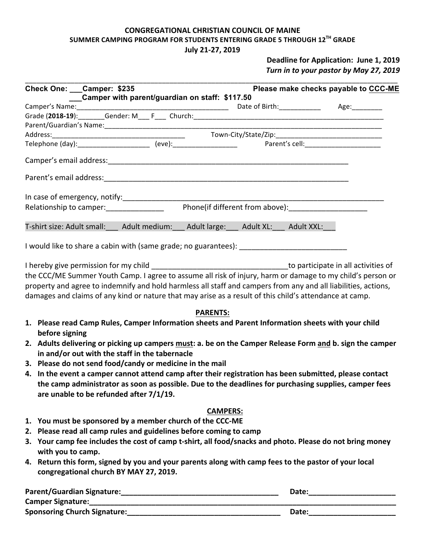# **CONGREGATIONAL CHRISTIAN COUNCIL OF MAINE** SUMMER CAMPING PROGRAM FOR STUDENTS ENTERING GRADE 5 THROUGH 12<sup>TH</sup> GRADE

#### **July 21-27, 2019**

### **Deadline for Application: June 1, 2019** Turn in to your pastor by May 27, 2019

| Check One: ___ Camper: \$235 | Camper with parent/guardian on staff: \$117.50 |                                                                            | Please make checks payable to CCC-ME       |
|------------------------------|------------------------------------------------|----------------------------------------------------------------------------|--------------------------------------------|
|                              |                                                |                                                                            | Date of Birth: _____________ Age: ________ |
|                              |                                                |                                                                            |                                            |
|                              |                                                |                                                                            |                                            |
|                              |                                                |                                                                            |                                            |
|                              |                                                |                                                                            |                                            |
|                              |                                                |                                                                            |                                            |
|                              |                                                |                                                                            |                                            |
|                              |                                                |                                                                            |                                            |
|                              | Relationship to camper: 1999 March 2004        | Phone(if different from above): ______________________                     |                                            |
|                              |                                                | T-shirt size: Adult small: Adult medium: Adult large: Adult XL: Adult XXL: |                                            |
|                              |                                                |                                                                            |                                            |

I hereby give permission for my child **Lettermus** and the state of the state of the state of the state of the state of the state of the state of the state of the state of the state of the state of the state of the state of the CCC/ME Summer Youth Camp. I agree to assume all risk of injury, harm or damage to my child's person or property and agree to indemnify and hold harmless all staff and campers from any and all liabilities, actions, damages and claims of any kind or nature that may arise as a result of this child's attendance at camp.

#### **PARENTS:**

- 1. Please read Camp Rules, Camper Information sheets and Parent Information sheets with your child **before** signing
- 2. Adults delivering or picking up campers must: a. be on the Camper Release Form and b. sign the camper **in and/or out with the staff in the tabernacle**
- **3.** Please do not send food/candy or medicine in the mail
- 4. In the event a camper cannot attend camp after their registration has been submitted, please contact the camp administrator as soon as possible. Due to the deadlines for purchasing supplies, camper fees are unable to be refunded after  $7/1/19$ .

#### **CAMPERS:**

- 1. You must be sponsored by a member church of the CCC-ME
- **2.** Please read all camp rules and guidelines before coming to camp
- **3.** Your camp fee includes the cost of camp t-shirt, all food/snacks and photo. Please do not bring money with you to camp.
- 4. Return this form, signed by you and your parents along with camp fees to the pastor of your local **congregational church BY MAY 27, 2019.**

| <b>Parent/Guardian Signature:</b>   | Date: |
|-------------------------------------|-------|
| <b>Camper Signature:</b>            |       |
| <b>Sponsoring Church Signature:</b> | Date: |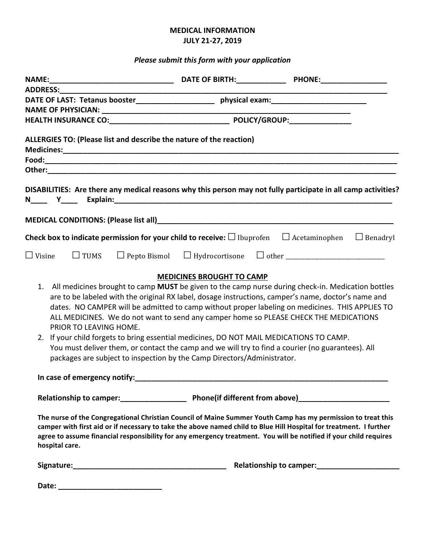### **MEDICAL INFORMATION JULY 21-27, 2019**

## *Please submit this form with your application*

| <b>ADDRESS:</b> |                        |                                                                                                                                                                                                                                                                                                                                                                                                                                                                                                                                                                                                                                                                                     |                                                                                                                                                                                                                               |
|-----------------|------------------------|-------------------------------------------------------------------------------------------------------------------------------------------------------------------------------------------------------------------------------------------------------------------------------------------------------------------------------------------------------------------------------------------------------------------------------------------------------------------------------------------------------------------------------------------------------------------------------------------------------------------------------------------------------------------------------------|-------------------------------------------------------------------------------------------------------------------------------------------------------------------------------------------------------------------------------|
|                 |                        | DATE OF LAST: Tetanus booster_________________________ physical exam:______________________________                                                                                                                                                                                                                                                                                                                                                                                                                                                                                                                                                                                 |                                                                                                                                                                                                                               |
|                 |                        |                                                                                                                                                                                                                                                                                                                                                                                                                                                                                                                                                                                                                                                                                     |                                                                                                                                                                                                                               |
|                 |                        |                                                                                                                                                                                                                                                                                                                                                                                                                                                                                                                                                                                                                                                                                     |                                                                                                                                                                                                                               |
|                 |                        | ALLERGIES TO: (Please list and describe the nature of the reaction)                                                                                                                                                                                                                                                                                                                                                                                                                                                                                                                                                                                                                 |                                                                                                                                                                                                                               |
|                 |                        |                                                                                                                                                                                                                                                                                                                                                                                                                                                                                                                                                                                                                                                                                     |                                                                                                                                                                                                                               |
|                 |                        |                                                                                                                                                                                                                                                                                                                                                                                                                                                                                                                                                                                                                                                                                     |                                                                                                                                                                                                                               |
|                 |                        |                                                                                                                                                                                                                                                                                                                                                                                                                                                                                                                                                                                                                                                                                     | DISABILITIES: Are there any medical reasons why this person may not fully participate in all camp activities?                                                                                                                 |
|                 |                        |                                                                                                                                                                                                                                                                                                                                                                                                                                                                                                                                                                                                                                                                                     |                                                                                                                                                                                                                               |
|                 |                        |                                                                                                                                                                                                                                                                                                                                                                                                                                                                                                                                                                                                                                                                                     | <b>Check box to indicate permission for your child to receive:</b> $\square$ Ibuprofen $\square$ Acetaminophen $\square$ Benadryl                                                                                             |
| $\Box$ Visine   | $\Box$ TUMS            |                                                                                                                                                                                                                                                                                                                                                                                                                                                                                                                                                                                                                                                                                     |                                                                                                                                                                                                                               |
| 1.              | PRIOR TO LEAVING HOME. | <b>MEDICINES BROUGHT TO CAMP</b><br>are to be labeled with the original RX label, dosage instructions, camper's name, doctor's name and<br>dates. NO CAMPER will be admitted to camp without proper labeling on medicines. THIS APPLIES TO<br>ALL MEDICINES. We do not want to send any camper home so PLEASE CHECK THE MEDICATIONS<br>2. If your child forgets to bring essential medicines, DO NOT MAIL MEDICATIONS TO CAMP.<br>You must deliver them, or contact the camp and we will try to find a courier (no guarantees). All<br>packages are subject to inspection by the Camp Directors/Administrator.<br>In case of emergency notify: Management Case of emergency notify: | All medicines brought to camp MUST be given to the camp nurse during check-in. Medication bottles                                                                                                                             |
|                 |                        |                                                                                                                                                                                                                                                                                                                                                                                                                                                                                                                                                                                                                                                                                     |                                                                                                                                                                                                                               |
| hospital care.  |                        | camper with first aid or if necessary to take the above named child to Blue Hill Hospital for treatment. I further<br>agree to assume financial responsibility for any emergency treatment. You will be notified if your child requires                                                                                                                                                                                                                                                                                                                                                                                                                                             | The nurse of the Congregational Christian Council of Maine Summer Youth Camp has my permission to treat this                                                                                                                  |
|                 |                        |                                                                                                                                                                                                                                                                                                                                                                                                                                                                                                                                                                                                                                                                                     | Signature: Maria Land and Communications (Signature: Maria Land and Communications of the Communications of the Communications of the Communications of the Communications of the Communications of the Communications of the |
|                 |                        |                                                                                                                                                                                                                                                                                                                                                                                                                                                                                                                                                                                                                                                                                     |                                                                                                                                                                                                                               |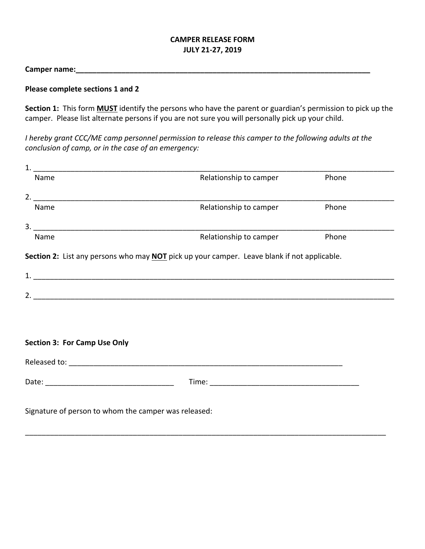### **CAMPER RELEASE FORM JULY 21-27, 2019**

**Camper name:\_\_\_\_\_\_\_\_\_\_\_\_\_\_\_\_\_\_\_\_\_\_\_\_\_\_\_\_\_\_\_\_\_\_\_\_\_\_\_\_\_\_\_\_\_\_\_\_\_\_\_\_\_\_\_\_\_\_\_\_\_\_\_\_\_\_\_\_\_\_\_**

#### **Please complete sections 1 and 2**

**Section 1:** This form **MUST** identify the persons who have the parent or guardian's permission to pick up the camper. Please list alternate persons if you are not sure you will personally pick up your child.

*I* hereby grant CCC/ME camp personnel permission to release this camper to the following adults at the *conclusion of camp, or in the case of an emergency:* 

| $\mathbf{1}$ |                                                                                             |                        |       |  |
|--------------|---------------------------------------------------------------------------------------------|------------------------|-------|--|
|              | Name                                                                                        | Relationship to camper | Phone |  |
| 2.           |                                                                                             |                        |       |  |
|              | Name                                                                                        | Relationship to camper | Phone |  |
| 3.           |                                                                                             |                        |       |  |
|              | Name                                                                                        | Relationship to camper | Phone |  |
|              |                                                                                             |                        |       |  |
|              | Section 2: List any persons who may NOT pick up your camper. Leave blank if not applicable. |                        |       |  |
| 1.           |                                                                                             |                        |       |  |
| 2.           |                                                                                             |                        |       |  |
|              |                                                                                             |                        |       |  |

#### **Section 3: For Camp Use Only**

Released to: entries and the set of the set of the set of the set of the set of the set of the set of the set of the set of the set of the set of the set of the set of the set of the set of the set of the set of the set of Date: etc. and the contract of the contract of the contract of the contract of the contract of the contract of the contract of the contract of the contract of the contract of the contract of the contract of the contract of

\_\_\_\_\_\_\_\_\_\_\_\_\_\_\_\_\_\_\_\_\_\_\_\_\_\_\_\_\_\_\_\_\_\_\_\_\_\_\_\_\_\_\_\_\_\_\_\_\_\_\_\_\_\_\_\_\_\_\_\_\_\_\_\_\_\_\_\_\_\_\_\_\_\_\_\_\_\_\_\_\_\_\_\_\_\_\_

Signature of person to whom the camper was released: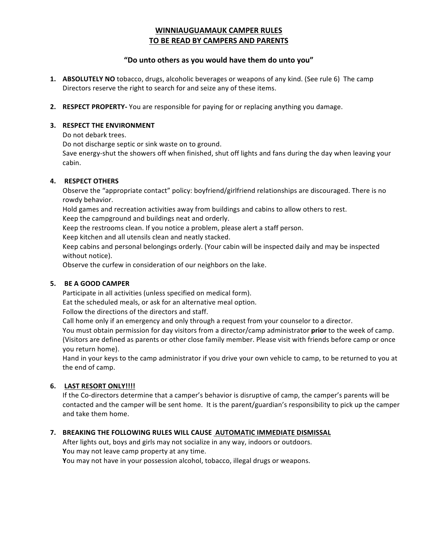### **WINNIAUGUAMAUK CAMPER RULES TO BE READ BY CAMPERS AND PARENTS**

#### "Do unto others as you would have them do unto you"

- **1. ABSOLUTELY NO** tobacco, drugs, alcoholic beverages or weapons of any kind. (See rule 6) The camp Directors reserve the right to search for and seize any of these items.
- **2. RESPECT PROPERTY-** You are responsible for paying for or replacing anything you damage.

#### **3. RESPECT THE ENVIRONMENT**

Do not debark trees.

Do not discharge septic or sink waste on to ground.

Save energy-shut the showers off when finished, shut off lights and fans during the day when leaving your cabin.

#### **4. RESPECT OTHERS**

Observe the "appropriate contact" policy: boyfriend/girlfriend relationships are discouraged. There is no rowdy behavior.

Hold games and recreation activities away from buildings and cabins to allow others to rest.

Keep the campground and buildings neat and orderly.

Keep the restrooms clean. If you notice a problem, please alert a staff person.

Keep kitchen and all utensils clean and neatly stacked.

Keep cabins and personal belongings orderly. (Your cabin will be inspected daily and may be inspected without notice).

Observe the curfew in consideration of our neighbors on the lake.

#### **5. BE A GOOD CAMPER**

Participate in all activities (unless specified on medical form).

Eat the scheduled meals, or ask for an alternative meal option.

Follow the directions of the directors and staff.

Call home only if an emergency and only through a request from your counselor to a director.

You must obtain permission for day visitors from a director/camp administrator **prior** to the week of camp. (Visitors are defined as parents or other close family member. Please visit with friends before camp or once you return home).

Hand in your keys to the camp administrator if you drive your own vehicle to camp, to be returned to you at the end of camp.

#### **6.** LAST RESORT ONLY!!!!

If the Co-directors determine that a camper's behavior is disruptive of camp, the camper's parents will be contacted and the camper will be sent home. It is the parent/guardian's responsibility to pick up the camper and take them home.

#### **7. BREAKING THE FOLLOWING RULES WILL CAUSE AUTOMATIC IMMEDIATE DISMISSAL**

After lights out, boys and girls may not socialize in any way, indoors or outdoors. **You** may not leave camp property at any time. You may not have in your possession alcohol, tobacco, illegal drugs or weapons.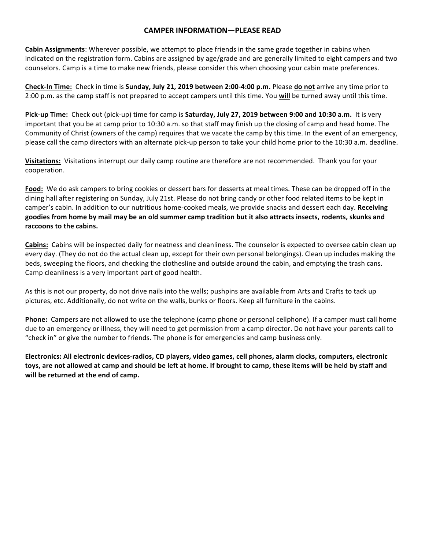#### **CAMPER INFORMATION—PLEASE READ**

**Cabin Assignments:** Wherever possible, we attempt to place friends in the same grade together in cabins when indicated on the registration form. Cabins are assigned by age/grade and are generally limited to eight campers and two counselors. Camp is a time to make new friends, please consider this when choosing your cabin mate preferences.

**Check-In Time:** Check in time is **Sunday, July 21, 2019 between 2:00-4:00 p.m.** Please **do not** arrive any time prior to 2:00 p.m. as the camp staff is not prepared to accept campers until this time. You will be turned away until this time.

Pick-up Time: Check out (pick-up) time for camp is Saturday, July 27, 2019 between 9:00 and 10:30 a.m. It is very important that you be at camp prior to 10:30 a.m. so that staff may finish up the closing of camp and head home. The Community of Christ (owners of the camp) requires that we vacate the camp by this time. In the event of an emergency, please call the camp directors with an alternate pick-up person to take your child home prior to the 10:30 a.m. deadline.

**Visitations:** Visitations interrupt our daily camp routine are therefore are not recommended. Thank you for your cooperation.

Food: We do ask campers to bring cookies or dessert bars for desserts at meal times. These can be dropped off in the dining hall after registering on Sunday, July 21st. Please do not bring candy or other food related items to be kept in camper's cabin. In addition to our nutritious home-cooked meals, we provide snacks and dessert each day. **Receiving** goodies from home by mail may be an old summer camp tradition but it also attracts insects, rodents, skunks and raccoons to the cabins.

**Cabins:** Cabins will be inspected daily for neatness and cleanliness. The counselor is expected to oversee cabin clean up every day. (They do not do the actual clean up, except for their own personal belongings). Clean up includes making the beds, sweeping the floors, and checking the clothesline and outside around the cabin, and emptying the trash cans. Camp cleanliness is a very important part of good health.

As this is not our property, do not drive nails into the walls; pushpins are available from Arts and Crafts to tack up pictures, etc. Additionally, do not write on the walls, bunks or floors. Keep all furniture in the cabins.

**Phone:** Campers are not allowed to use the telephone (camp phone or personal cellphone). If a camper must call home due to an emergency or illness, they will need to get permission from a camp director. Do not have your parents call to "check in" or give the number to friends. The phone is for emergencies and camp business only.

**Electronics: All electronic devices-radios, CD players, video games, cell phones, alarm clocks, computers, electronic**  toys, are not allowed at camp and should be left at home. If brought to camp, these items will be held by staff and will be returned at the end of camp.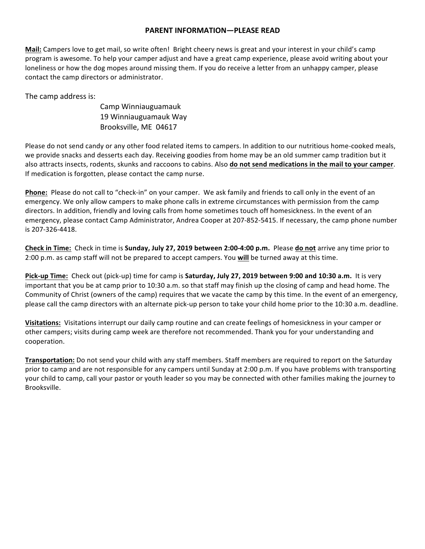#### **PARENT INFORMATION—PLEASE READ**

**Mail:** Campers love to get mail, so write often! Bright cheery news is great and your interest in your child's camp program is awesome. To help your camper adjust and have a great camp experience, please avoid writing about your loneliness or how the dog mopes around missing them. If you do receive a letter from an unhappy camper, please contact the camp directors or administrator.

The camp address is:

Camp Winniauguamauk 19 Winniauguamauk Way Brooksville, ME 04617

Please do not send candy or any other food related items to campers. In addition to our nutritious home-cooked meals, we provide snacks and desserts each day. Receiving goodies from home may be an old summer camp tradition but it also attracts insects, rodents, skunks and raccoons to cabins. Also **do not send medications in the mail to your camper**. If medication is forgotten, please contact the camp nurse.

**Phone:** Please do not call to "check-in" on your camper. We ask family and friends to call only in the event of an emergency. We only allow campers to make phone calls in extreme circumstances with permission from the camp directors. In addition, friendly and loving calls from home sometimes touch off homesickness. In the event of an emergency, please contact Camp Administrator, Andrea Cooper at 207-852-5415. If necessary, the camp phone number is 207-326-4418.

**Check in Time:** Check in time is **Sunday, July 27, 2019 between 2:00-4:00 p.m.** Please **do not** arrive any time prior to 2:00 p.m. as camp staff will not be prepared to accept campers. You will be turned away at this time.

**Pick-up Time:** Check out (pick-up) time for camp is **Saturday, July 27, 2019 between 9:00 and 10:30 a.m.** It is very important that you be at camp prior to 10:30 a.m. so that staff may finish up the closing of camp and head home. The Community of Christ (owners of the camp) requires that we vacate the camp by this time. In the event of an emergency, please call the camp directors with an alternate pick-up person to take your child home prior to the 10:30 a.m. deadline.

**Visitations:** Visitations interrupt our daily camp routine and can create feelings of homesickness in your camper or other campers; visits during camp week are therefore not recommended. Thank you for your understanding and cooperation.

**Transportation:** Do not send your child with any staff members. Staff members are required to report on the Saturday prior to camp and are not responsible for any campers until Sunday at 2:00 p.m. If you have problems with transporting your child to camp, call your pastor or youth leader so you may be connected with other families making the journey to Brooksville.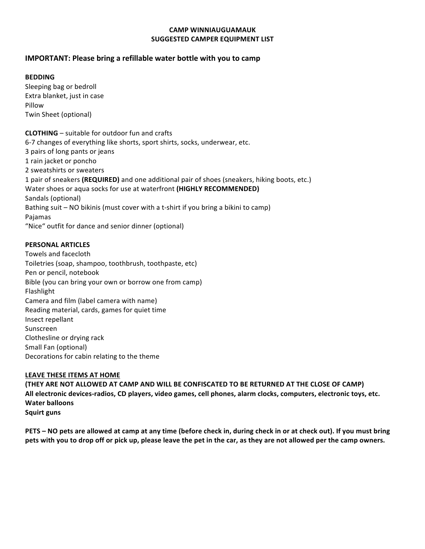#### **CAMP WINNIAUGUAMAUK SUGGESTED CAMPER EQUIPMENT LIST**

#### **IMPORTANT: Please bring a refillable water bottle with you to camp**

#### **BEDDING**

Sleeping bag or bedroll Extra blanket, just in case Pillow Twin Sheet (optional)

**CLOTHING** – suitable for outdoor fun and crafts 6-7 changes of everything like shorts, sport shirts, socks, underwear, etc. 3 pairs of long pants or jeans 1 rain jacket or poncho 2 sweatshirts or sweaters 1 pair of sneakers (REQUIRED) and one additional pair of shoes (sneakers, hiking boots, etc.) Water shoes or aqua socks for use at waterfront (HIGHLY RECOMMENDED) Sandals (optional) Bathing suit - NO bikinis (must cover with a t-shirt if you bring a bikini to camp) Pajamas "Nice" outfit for dance and senior dinner (optional)

#### **PERSONAL ARTICLES**

Towels and facecloth Toiletries (soap, shampoo, toothbrush, toothpaste, etc) Pen or pencil, notebook Bible (you can bring your own or borrow one from camp) Flashlight Camera and film (label camera with name) Reading material, cards, games for quiet time Insect repellant Sunscreen Clothesline or drying rack Small Fan (optional) Decorations for cabin relating to the theme

#### LEAVE THESE ITEMS AT HOME

(THEY ARE NOT ALLOWED AT CAMP AND WILL BE CONFISCATED TO BE RETURNED AT THE CLOSE OF CAMP) All electronic devices-radios, CD players, video games, cell phones, alarm clocks, computers, electronic toys, etc. **Water balloons Squirt** guns

**PETS** – NO pets are allowed at camp at any time (before check in, during check in or at check out). If you must bring pets with you to drop off or pick up, please leave the pet in the car, as they are not allowed per the camp owners.